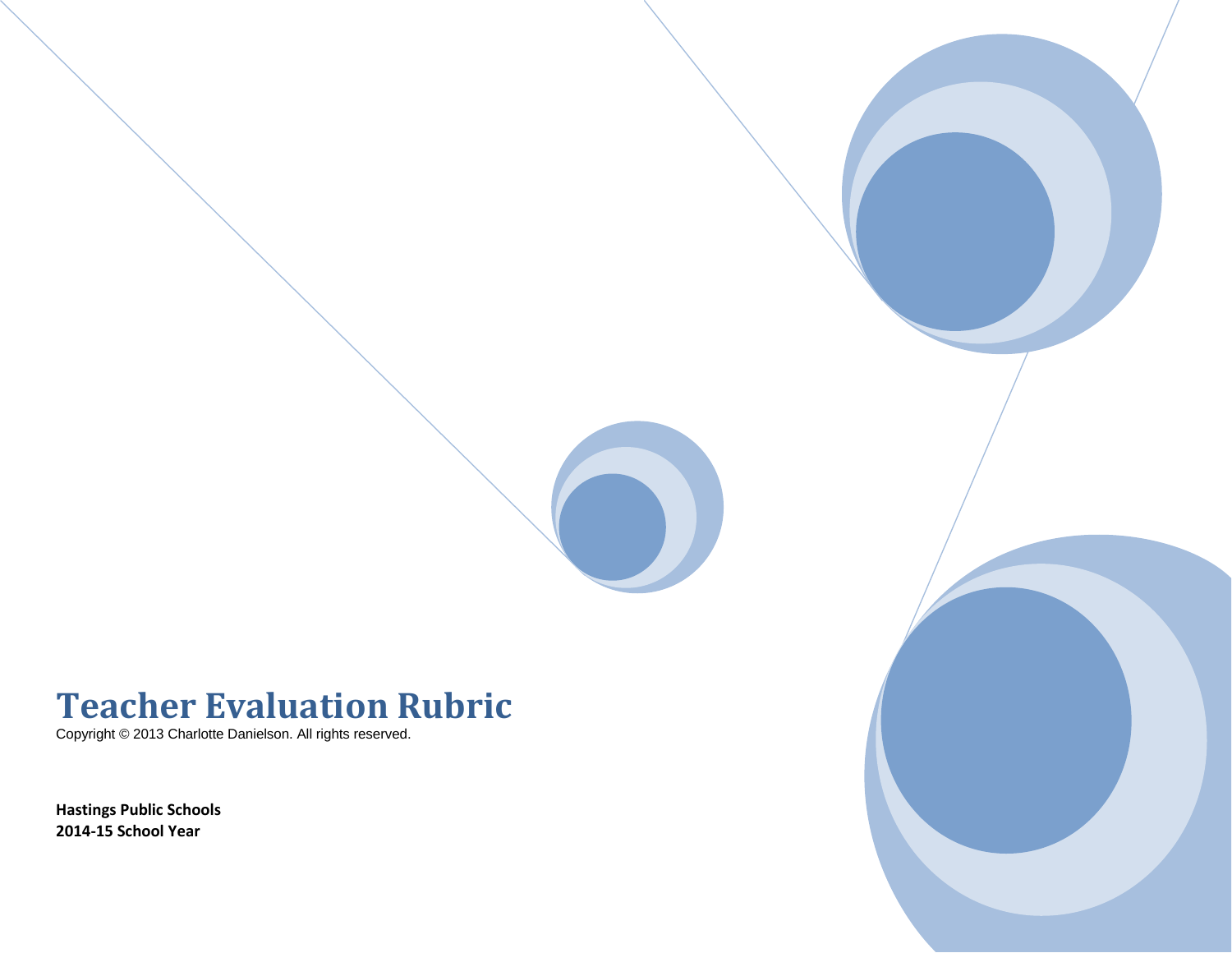

# **Teacher Evaluation Rubric**

Copyright © 2013 Charlotte Danielson. All rights reserved.

**Hastings Public Schools 2014-15 School Year**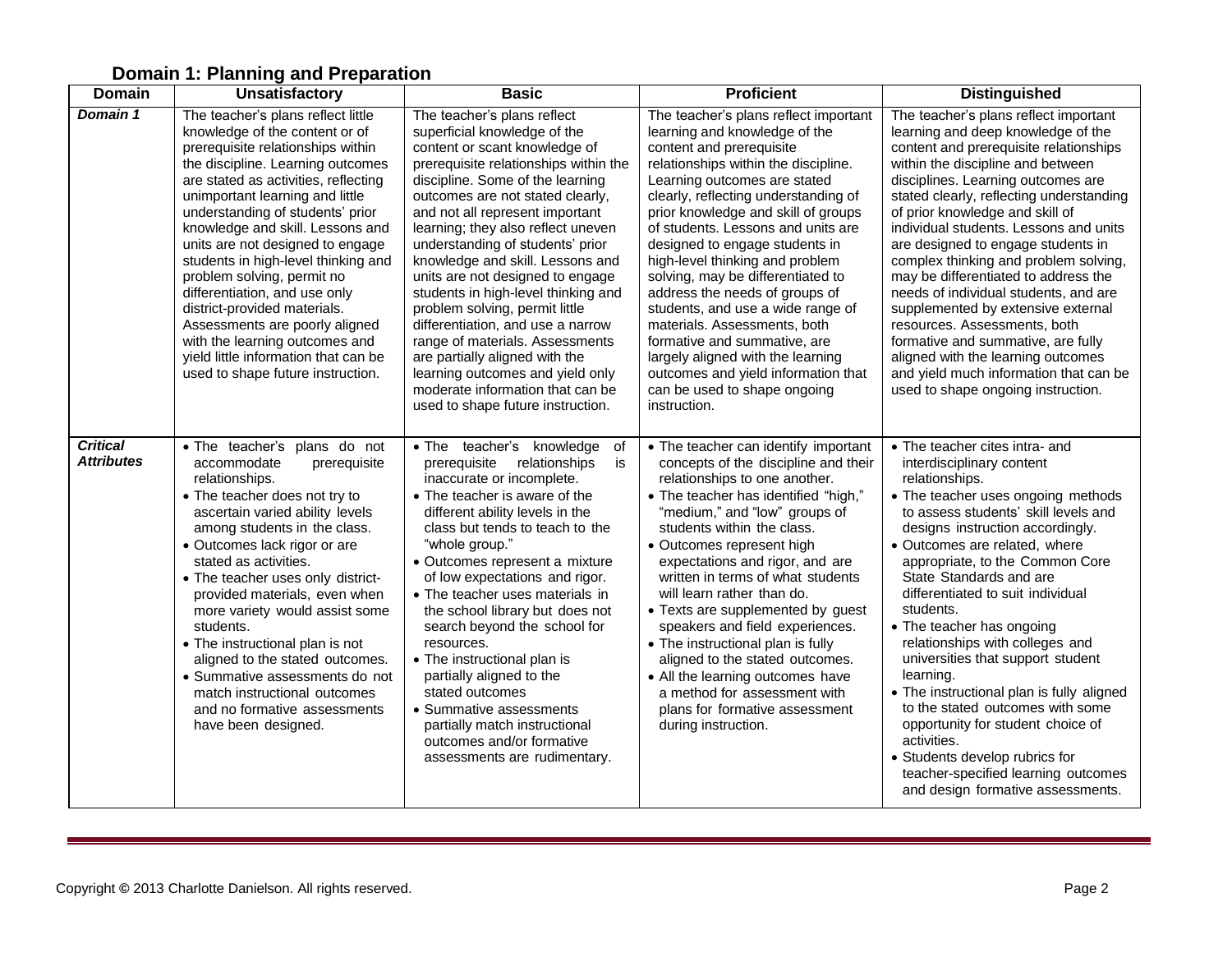# **Domain 1: Planning and Preparation**

| <b>Domain</b>                        | <b>Unsatisfactory</b>                                                                                                                                                                                                                                                                                                                                                                                                                                                                                                                                                                                                        | <b>Basic</b>                                                                                                                                                                                                                                                                                                                                                                                                                                                                                                                                                                                                                                                                                       | <b>Proficient</b>                                                                                                                                                                                                                                                                                                                                                                                                                                                                                                                                                                                                                                                            | <b>Distinguished</b>                                                                                                                                                                                                                                                                                                                                                                                                                                                                                                                                                                                                                                                                                                        |
|--------------------------------------|------------------------------------------------------------------------------------------------------------------------------------------------------------------------------------------------------------------------------------------------------------------------------------------------------------------------------------------------------------------------------------------------------------------------------------------------------------------------------------------------------------------------------------------------------------------------------------------------------------------------------|----------------------------------------------------------------------------------------------------------------------------------------------------------------------------------------------------------------------------------------------------------------------------------------------------------------------------------------------------------------------------------------------------------------------------------------------------------------------------------------------------------------------------------------------------------------------------------------------------------------------------------------------------------------------------------------------------|------------------------------------------------------------------------------------------------------------------------------------------------------------------------------------------------------------------------------------------------------------------------------------------------------------------------------------------------------------------------------------------------------------------------------------------------------------------------------------------------------------------------------------------------------------------------------------------------------------------------------------------------------------------------------|-----------------------------------------------------------------------------------------------------------------------------------------------------------------------------------------------------------------------------------------------------------------------------------------------------------------------------------------------------------------------------------------------------------------------------------------------------------------------------------------------------------------------------------------------------------------------------------------------------------------------------------------------------------------------------------------------------------------------------|
| Domain 1                             | The teacher's plans reflect little<br>knowledge of the content or of<br>prerequisite relationships within<br>the discipline. Learning outcomes<br>are stated as activities, reflecting<br>unimportant learning and little<br>understanding of students' prior<br>knowledge and skill. Lessons and<br>units are not designed to engage<br>students in high-level thinking and<br>problem solving, permit no<br>differentiation, and use only<br>district-provided materials.<br>Assessments are poorly aligned<br>with the learning outcomes and<br>yield little information that can be<br>used to shape future instruction. | The teacher's plans reflect<br>superficial knowledge of the<br>content or scant knowledge of<br>prerequisite relationships within the<br>discipline. Some of the learning<br>outcomes are not stated clearly,<br>and not all represent important<br>learning; they also reflect uneven<br>understanding of students' prior<br>knowledge and skill. Lessons and<br>units are not designed to engage<br>students in high-level thinking and<br>problem solving, permit little<br>differentiation, and use a narrow<br>range of materials. Assessments<br>are partially aligned with the<br>learning outcomes and yield only<br>moderate information that can be<br>used to shape future instruction. | The teacher's plans reflect important<br>learning and knowledge of the<br>content and prerequisite<br>relationships within the discipline.<br>Learning outcomes are stated<br>clearly, reflecting understanding of<br>prior knowledge and skill of groups<br>of students. Lessons and units are<br>designed to engage students in<br>high-level thinking and problem<br>solving, may be differentiated to<br>address the needs of groups of<br>students, and use a wide range of<br>materials. Assessments, both<br>formative and summative, are<br>largely aligned with the learning<br>outcomes and yield information that<br>can be used to shape ongoing<br>instruction. | The teacher's plans reflect important<br>learning and deep knowledge of the<br>content and prerequisite relationships<br>within the discipline and between<br>disciplines. Learning outcomes are<br>stated clearly, reflecting understanding<br>of prior knowledge and skill of<br>individual students. Lessons and units<br>are designed to engage students in<br>complex thinking and problem solving,<br>may be differentiated to address the<br>needs of individual students, and are<br>supplemented by extensive external<br>resources. Assessments, both<br>formative and summative, are fully<br>aligned with the learning outcomes<br>and yield much information that can be<br>used to shape ongoing instruction. |
| <b>Critical</b><br><b>Attributes</b> | . The teacher's plans do not<br>accommodate<br>prerequisite<br>relationships.<br>• The teacher does not try to<br>ascertain varied ability levels<br>among students in the class.<br>• Outcomes lack rigor or are<br>stated as activities.<br>• The teacher uses only district-<br>provided materials, even when<br>more variety would assist some<br>students.<br>• The instructional plan is not<br>aligned to the stated outcomes.<br>• Summative assessments do not<br>match instructional outcomes<br>and no formative assessments<br>have been designed.                                                               | . The teacher's knowledge of<br>relationships<br>is<br>prerequisite<br>inaccurate or incomplete.<br>• The teacher is aware of the<br>different ability levels in the<br>class but tends to teach to the<br>"whole group."<br>• Outcomes represent a mixture<br>of low expectations and rigor.<br>• The teacher uses materials in<br>the school library but does not<br>search beyond the school for<br>resources.<br>• The instructional plan is<br>partially aligned to the<br>stated outcomes<br>• Summative assessments<br>partially match instructional<br>outcomes and/or formative<br>assessments are rudimentary.                                                                           | • The teacher can identify important<br>concepts of the discipline and their<br>relationships to one another.<br>• The teacher has identified "high,"<br>"medium," and "low" groups of<br>students within the class.<br>• Outcomes represent high<br>expectations and rigor, and are<br>written in terms of what students<br>will learn rather than do.<br>• Texts are supplemented by guest<br>speakers and field experiences.<br>• The instructional plan is fully<br>aligned to the stated outcomes.<br>• All the learning outcomes have<br>a method for assessment with<br>plans for formative assessment<br>during instruction.                                         | • The teacher cites intra- and<br>interdisciplinary content<br>relationships.<br>• The teacher uses ongoing methods<br>to assess students' skill levels and<br>designs instruction accordingly.<br>· Outcomes are related, where<br>appropriate, to the Common Core<br>State Standards and are<br>differentiated to suit individual<br>students.<br>• The teacher has ongoing<br>relationships with colleges and<br>universities that support student<br>learning.<br>• The instructional plan is fully aligned<br>to the stated outcomes with some<br>opportunity for student choice of<br>activities.<br>• Students develop rubrics for<br>teacher-specified learning outcomes<br>and design formative assessments.       |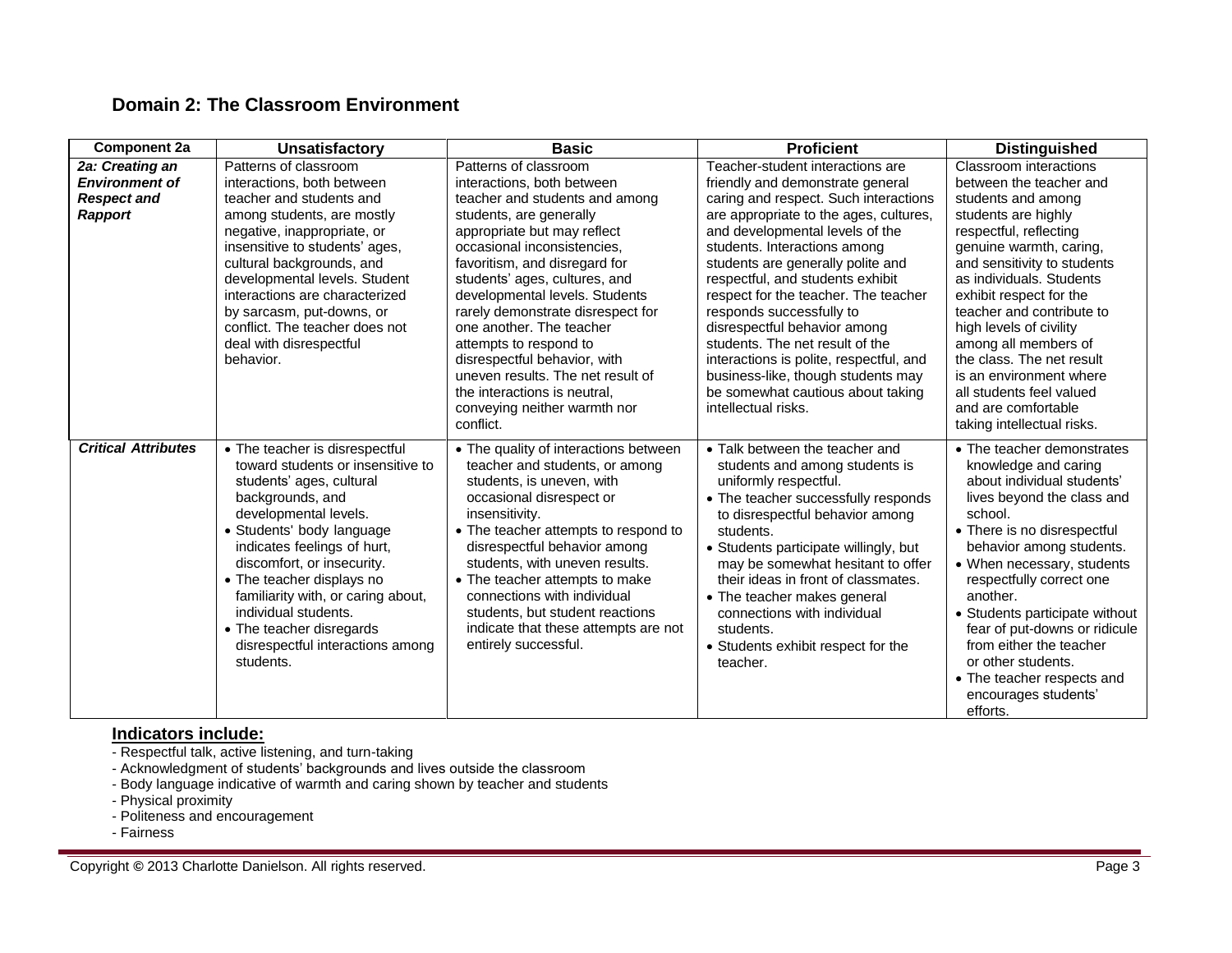# **Domain 2: The Classroom Environment**

| Component 2a                                                              | <b>Unsatisfactory</b>                                                                                                                                                                                                                                                                                                                                                                                          | <b>Basic</b>                                                                                                                                                                                                                                                                                                                                                                                                                                                                                                                    | <b>Proficient</b>                                                                                                                                                                                                                                                                                                                                                                                                                                                                                                                                                                       | <b>Distinguished</b>                                                                                                                                                                                                                                                                                                                                                                                                                                               |
|---------------------------------------------------------------------------|----------------------------------------------------------------------------------------------------------------------------------------------------------------------------------------------------------------------------------------------------------------------------------------------------------------------------------------------------------------------------------------------------------------|---------------------------------------------------------------------------------------------------------------------------------------------------------------------------------------------------------------------------------------------------------------------------------------------------------------------------------------------------------------------------------------------------------------------------------------------------------------------------------------------------------------------------------|-----------------------------------------------------------------------------------------------------------------------------------------------------------------------------------------------------------------------------------------------------------------------------------------------------------------------------------------------------------------------------------------------------------------------------------------------------------------------------------------------------------------------------------------------------------------------------------------|--------------------------------------------------------------------------------------------------------------------------------------------------------------------------------------------------------------------------------------------------------------------------------------------------------------------------------------------------------------------------------------------------------------------------------------------------------------------|
| 2a: Creating an<br><b>Environment of</b><br><b>Respect and</b><br>Rapport | Patterns of classroom<br>interactions, both between<br>teacher and students and<br>among students, are mostly<br>negative, inappropriate, or<br>insensitive to students' ages,<br>cultural backgrounds, and<br>developmental levels. Student<br>interactions are characterized<br>by sarcasm, put-downs, or<br>conflict. The teacher does not<br>deal with disrespectful<br>behavior.                          | Patterns of classroom<br>interactions, both between<br>teacher and students and among<br>students, are generally<br>appropriate but may reflect<br>occasional inconsistencies.<br>favoritism, and disregard for<br>students' ages, cultures, and<br>developmental levels. Students<br>rarely demonstrate disrespect for<br>one another. The teacher<br>attempts to respond to<br>disrespectful behavior, with<br>uneven results. The net result of<br>the interactions is neutral,<br>conveying neither warmth nor<br>conflict. | Teacher-student interactions are<br>friendly and demonstrate general<br>caring and respect. Such interactions<br>are appropriate to the ages, cultures,<br>and developmental levels of the<br>students. Interactions among<br>students are generally polite and<br>respectful, and students exhibit<br>respect for the teacher. The teacher<br>responds successfully to<br>disrespectful behavior among<br>students. The net result of the<br>interactions is polite, respectful, and<br>business-like, though students may<br>be somewhat cautious about taking<br>intellectual risks. | Classroom interactions<br>between the teacher and<br>students and among<br>students are highly<br>respectful, reflecting<br>genuine warmth, caring,<br>and sensitivity to students<br>as individuals. Students<br>exhibit respect for the<br>teacher and contribute to<br>high levels of civility<br>among all members of<br>the class. The net result<br>is an environment where<br>all students feel valued<br>and are comfortable<br>taking intellectual risks. |
| <b>Critical Attributes</b>                                                | • The teacher is disrespectful<br>toward students or insensitive to<br>students' ages, cultural<br>backgrounds, and<br>developmental levels.<br>• Students' body language<br>indicates feelings of hurt,<br>discomfort, or insecurity.<br>• The teacher displays no<br>familiarity with, or caring about,<br>individual students.<br>• The teacher disregards<br>disrespectful interactions among<br>students. | • The quality of interactions between<br>teacher and students, or among<br>students, is uneven, with<br>occasional disrespect or<br>insensitivity.<br>• The teacher attempts to respond to<br>disrespectful behavior among<br>students, with uneven results.<br>• The teacher attempts to make<br>connections with individual<br>students, but student reactions<br>indicate that these attempts are not<br>entirely successful.                                                                                                | • Talk between the teacher and<br>students and among students is<br>uniformly respectful.<br>• The teacher successfully responds<br>to disrespectful behavior among<br>students.<br>• Students participate willingly, but<br>may be somewhat hesitant to offer<br>their ideas in front of classmates.<br>• The teacher makes general<br>connections with individual<br>students.<br>• Students exhibit respect for the<br>teacher.                                                                                                                                                      | • The teacher demonstrates<br>knowledge and caring<br>about individual students'<br>lives beyond the class and<br>school.<br>• There is no disrespectful<br>behavior among students.<br>• When necessary, students<br>respectfully correct one<br>another.<br>• Students participate without<br>fear of put-downs or ridicule<br>from either the teacher<br>or other students.<br>• The teacher respects and<br>encourages students'<br>efforts.                   |

#### **Indicators include:**

- Respectful talk, active listening, and turn-taking
- Acknowledgment of students' backgrounds and lives outside the classroom
- Body language indicative of warmth and caring shown by teacher and students
- Physical proximity
- Politeness and encouragement
- Fairness

Copyright © 2013 Charlotte Danielson. All rights reserved. **Page 3** Page 3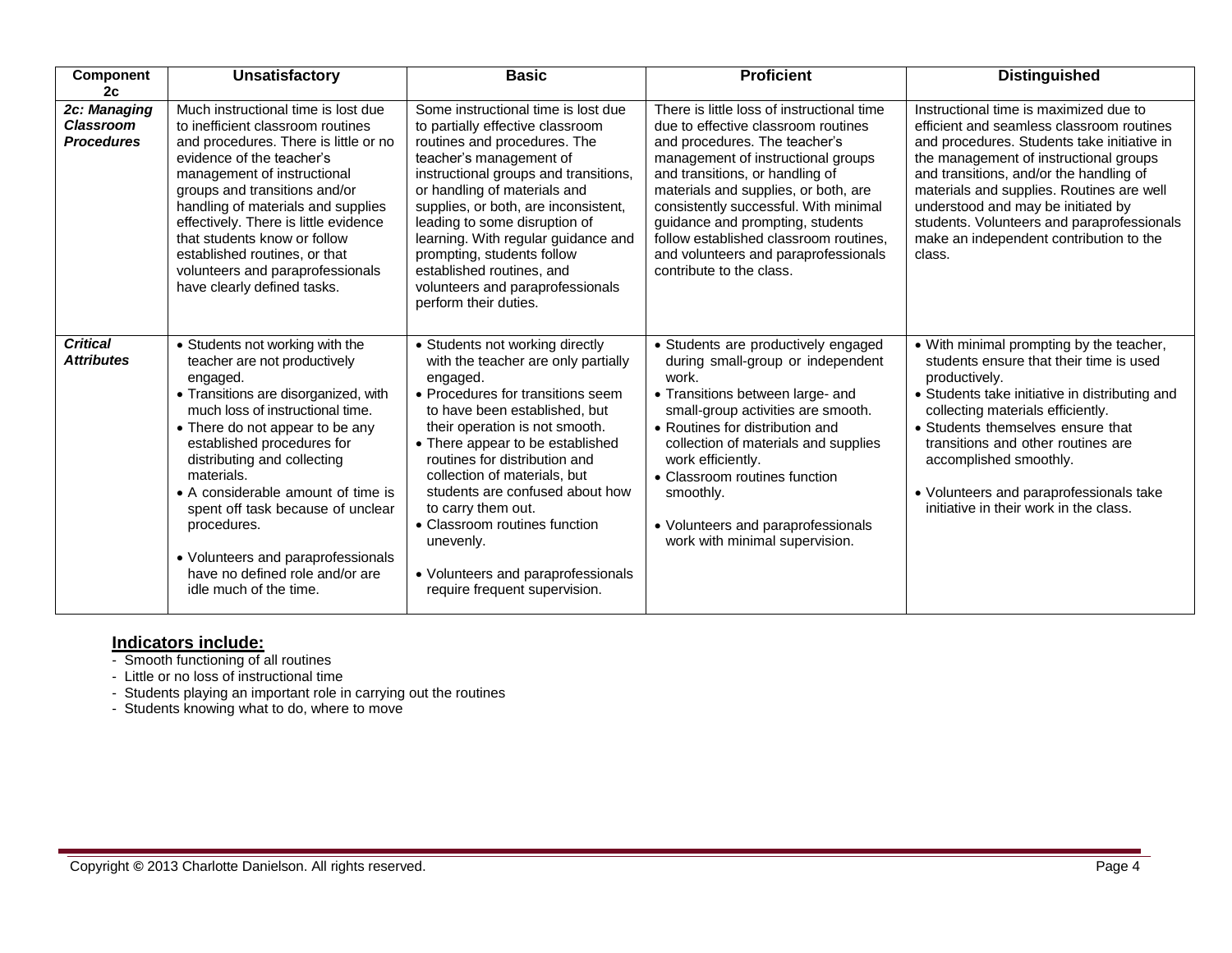| Component                                             | <b>Unsatisfactory</b>                                                                                                                                                                                                                                                                                                                                                                                                                                              | <b>Basic</b>                                                                                                                                                                                                                                                                                                                                                                                                                                                                  | <b>Proficient</b>                                                                                                                                                                                                                                                                                                                                                                                                              | <b>Distinguished</b>                                                                                                                                                                                                                                                                                                                                                                                          |
|-------------------------------------------------------|--------------------------------------------------------------------------------------------------------------------------------------------------------------------------------------------------------------------------------------------------------------------------------------------------------------------------------------------------------------------------------------------------------------------------------------------------------------------|-------------------------------------------------------------------------------------------------------------------------------------------------------------------------------------------------------------------------------------------------------------------------------------------------------------------------------------------------------------------------------------------------------------------------------------------------------------------------------|--------------------------------------------------------------------------------------------------------------------------------------------------------------------------------------------------------------------------------------------------------------------------------------------------------------------------------------------------------------------------------------------------------------------------------|---------------------------------------------------------------------------------------------------------------------------------------------------------------------------------------------------------------------------------------------------------------------------------------------------------------------------------------------------------------------------------------------------------------|
| 2c                                                    |                                                                                                                                                                                                                                                                                                                                                                                                                                                                    |                                                                                                                                                                                                                                                                                                                                                                                                                                                                               |                                                                                                                                                                                                                                                                                                                                                                                                                                |                                                                                                                                                                                                                                                                                                                                                                                                               |
| 2c: Managing<br><b>Classroom</b><br><b>Procedures</b> | Much instructional time is lost due<br>to inefficient classroom routines<br>and procedures. There is little or no<br>evidence of the teacher's<br>management of instructional<br>groups and transitions and/or<br>handling of materials and supplies<br>effectively. There is little evidence<br>that students know or follow<br>established routines, or that<br>volunteers and paraprofessionals<br>have clearly defined tasks.                                  | Some instructional time is lost due<br>to partially effective classroom<br>routines and procedures. The<br>teacher's management of<br>instructional groups and transitions.<br>or handling of materials and<br>supplies, or both, are inconsistent,<br>leading to some disruption of<br>learning. With regular guidance and<br>prompting, students follow<br>established routines, and<br>volunteers and paraprofessionals<br>perform their duties.                           | There is little loss of instructional time<br>due to effective classroom routines<br>and procedures. The teacher's<br>management of instructional groups<br>and transitions, or handling of<br>materials and supplies, or both, are<br>consistently successful. With minimal<br>guidance and prompting, students<br>follow established classroom routines,<br>and volunteers and paraprofessionals<br>contribute to the class. | Instructional time is maximized due to<br>efficient and seamless classroom routines<br>and procedures. Students take initiative in<br>the management of instructional groups<br>and transitions, and/or the handling of<br>materials and supplies. Routines are well<br>understood and may be initiated by<br>students. Volunteers and paraprofessionals<br>make an independent contribution to the<br>class. |
| <b>Critical</b><br><b>Attributes</b>                  | • Students not working with the<br>teacher are not productively<br>engaged.<br>• Transitions are disorganized, with<br>much loss of instructional time.<br>• There do not appear to be any<br>established procedures for<br>distributing and collecting<br>materials.<br>• A considerable amount of time is<br>spent off task because of unclear<br>procedures.<br>• Volunteers and paraprofessionals<br>have no defined role and/or are<br>idle much of the time. | • Students not working directly<br>with the teacher are only partially<br>engaged.<br>• Procedures for transitions seem<br>to have been established, but<br>their operation is not smooth.<br>• There appear to be established<br>routines for distribution and<br>collection of materials, but<br>students are confused about how<br>to carry them out.<br>• Classroom routines function<br>unevenly.<br>• Volunteers and paraprofessionals<br>require frequent supervision. | • Students are productively engaged<br>during small-group or independent<br>work.<br>• Transitions between large- and<br>small-group activities are smooth.<br>• Routines for distribution and<br>collection of materials and supplies<br>work efficiently.<br>• Classroom routines function<br>smoothly.<br>• Volunteers and paraprofessionals<br>work with minimal supervision.                                              | • With minimal prompting by the teacher,<br>students ensure that their time is used<br>productively.<br>• Students take initiative in distributing and<br>collecting materials efficiently.<br>• Students themselves ensure that<br>transitions and other routines are<br>accomplished smoothly.<br>• Volunteers and paraprofessionals take<br>initiative in their work in the class.                         |

- Smooth functioning of all routines
- Little or no loss of instructional time
- Students playing an important role in carrying out the routines
- Students knowing what to do, where to move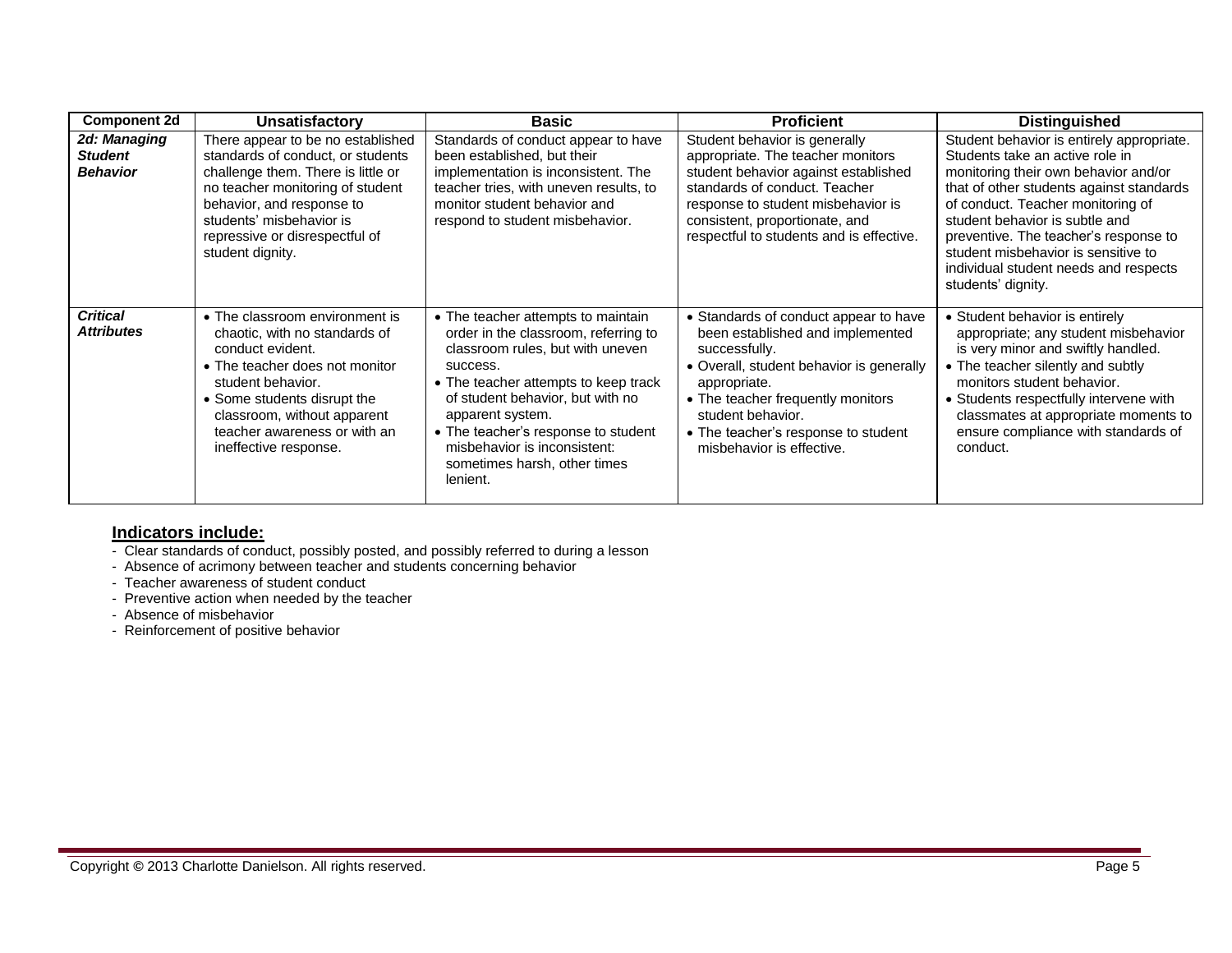| <b>Component 2d</b>                               | <b>Unsatisfactory</b>                                                                                                                                                                                                                                             | <b>Basic</b>                                                                                                                                                                                                                                                                                                                                  | <b>Proficient</b>                                                                                                                                                                                                                                                                    | <b>Distinguished</b>                                                                                                                                                                                                                                                                                                                                                                   |
|---------------------------------------------------|-------------------------------------------------------------------------------------------------------------------------------------------------------------------------------------------------------------------------------------------------------------------|-----------------------------------------------------------------------------------------------------------------------------------------------------------------------------------------------------------------------------------------------------------------------------------------------------------------------------------------------|--------------------------------------------------------------------------------------------------------------------------------------------------------------------------------------------------------------------------------------------------------------------------------------|----------------------------------------------------------------------------------------------------------------------------------------------------------------------------------------------------------------------------------------------------------------------------------------------------------------------------------------------------------------------------------------|
| 2d: Managing<br><b>Student</b><br><b>Behavior</b> | There appear to be no established<br>standards of conduct, or students<br>challenge them. There is little or<br>no teacher monitoring of student<br>behavior, and response to<br>students' misbehavior is<br>repressive or disrespectful of<br>student dignity.   | Standards of conduct appear to have<br>been established, but their<br>implementation is inconsistent. The<br>teacher tries, with uneven results, to<br>monitor student behavior and<br>respond to student misbehavior.                                                                                                                        | Student behavior is generally<br>appropriate. The teacher monitors<br>student behavior against established<br>standards of conduct. Teacher<br>response to student misbehavior is<br>consistent, proportionate, and<br>respectful to students and is effective.                      | Student behavior is entirely appropriate.<br>Students take an active role in<br>monitoring their own behavior and/or<br>that of other students against standards<br>of conduct. Teacher monitoring of<br>student behavior is subtle and<br>preventive. The teacher's response to<br>student misbehavior is sensitive to<br>individual student needs and respects<br>students' dignity. |
| <b>Critical</b><br><b>Attributes</b>              | • The classroom environment is<br>chaotic, with no standards of<br>conduct evident.<br>• The teacher does not monitor<br>student behavior.<br>• Some students disrupt the<br>classroom, without apparent<br>teacher awareness or with an<br>ineffective response. | • The teacher attempts to maintain<br>order in the classroom, referring to<br>classroom rules, but with uneven<br>success.<br>• The teacher attempts to keep track<br>of student behavior, but with no<br>apparent system.<br>• The teacher's response to student<br>misbehavior is inconsistent:<br>sometimes harsh, other times<br>lenient. | • Standards of conduct appear to have<br>been established and implemented<br>successfully.<br>• Overall, student behavior is generally<br>appropriate.<br>• The teacher frequently monitors<br>student behavior.<br>• The teacher's response to student<br>misbehavior is effective. | • Student behavior is entirely<br>appropriate; any student misbehavior<br>is very minor and swiftly handled.<br>• The teacher silently and subtly<br>monitors student behavior.<br>• Students respectfully intervene with<br>classmates at appropriate moments to<br>ensure compliance with standards of<br>conduct.                                                                   |

- Clear standards of conduct, possibly posted, and possibly referred to during a lesson
- Absence of acrimony between teacher and students concerning behavior
- Teacher awareness of student conduct
- Preventive action when needed by the teacher
- Absence of misbehavior
- Reinforcement of positive behavior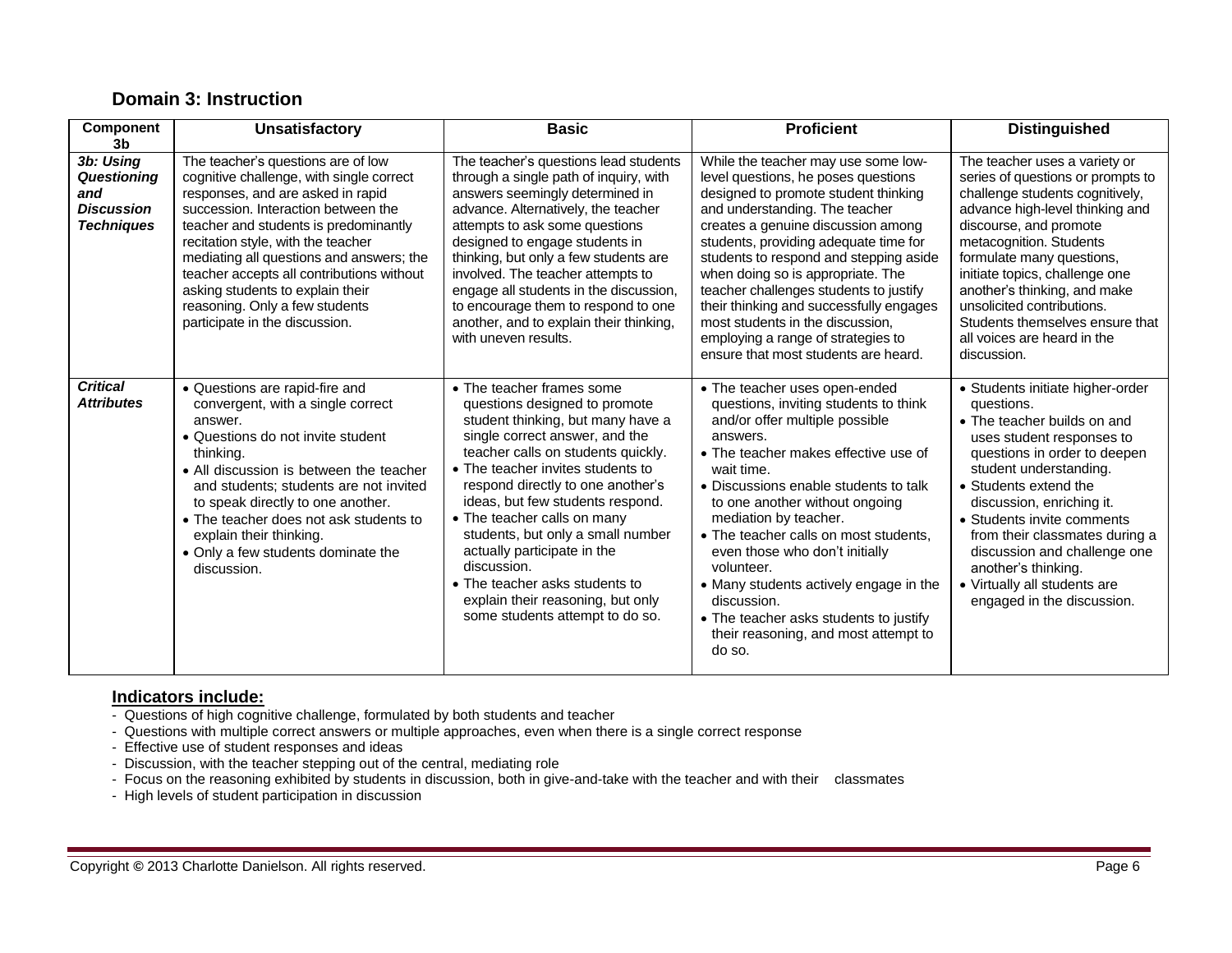# **Domain 3: Instruction**

| <b>Component</b><br>3 <sub>b</sub>                                        | <b>Unsatisfactory</b>                                                                                                                                                                                                                                                                                                                                                                                                                      | <b>Basic</b>                                                                                                                                                                                                                                                                                                                                                                                                                                                                                                      | <b>Proficient</b>                                                                                                                                                                                                                                                                                                                                                                                                                                                                                                            | <b>Distinguished</b>                                                                                                                                                                                                                                                                                                                                                                                            |
|---------------------------------------------------------------------------|--------------------------------------------------------------------------------------------------------------------------------------------------------------------------------------------------------------------------------------------------------------------------------------------------------------------------------------------------------------------------------------------------------------------------------------------|-------------------------------------------------------------------------------------------------------------------------------------------------------------------------------------------------------------------------------------------------------------------------------------------------------------------------------------------------------------------------------------------------------------------------------------------------------------------------------------------------------------------|------------------------------------------------------------------------------------------------------------------------------------------------------------------------------------------------------------------------------------------------------------------------------------------------------------------------------------------------------------------------------------------------------------------------------------------------------------------------------------------------------------------------------|-----------------------------------------------------------------------------------------------------------------------------------------------------------------------------------------------------------------------------------------------------------------------------------------------------------------------------------------------------------------------------------------------------------------|
| 3b: Using<br>Questioning<br>and<br><b>Discussion</b><br><b>Techniques</b> | The teacher's questions are of low<br>cognitive challenge, with single correct<br>responses, and are asked in rapid<br>succession. Interaction between the<br>teacher and students is predominantly<br>recitation style, with the teacher<br>mediating all questions and answers; the<br>teacher accepts all contributions without<br>asking students to explain their<br>reasoning. Only a few students<br>participate in the discussion. | The teacher's questions lead students<br>through a single path of inquiry, with<br>answers seemingly determined in<br>advance. Alternatively, the teacher<br>attempts to ask some questions<br>designed to engage students in<br>thinking, but only a few students are<br>involved. The teacher attempts to<br>engage all students in the discussion,<br>to encourage them to respond to one<br>another, and to explain their thinking,<br>with uneven results.                                                   | While the teacher may use some low-<br>level questions, he poses questions<br>designed to promote student thinking<br>and understanding. The teacher<br>creates a genuine discussion among<br>students, providing adequate time for<br>students to respond and stepping aside<br>when doing so is appropriate. The<br>teacher challenges students to justify<br>their thinking and successfully engages<br>most students in the discussion.<br>employing a range of strategies to<br>ensure that most students are heard.    | The teacher uses a variety or<br>series of questions or prompts to<br>challenge students cognitively,<br>advance high-level thinking and<br>discourse, and promote<br>metacognition. Students<br>formulate many questions,<br>initiate topics, challenge one<br>another's thinking, and make<br>unsolicited contributions.<br>Students themselves ensure that<br>all voices are heard in the<br>discussion.     |
| <b>Critical</b><br><b>Attributes</b>                                      | • Questions are rapid-fire and<br>convergent, with a single correct<br>answer.<br>• Questions do not invite student<br>thinking.<br>• All discussion is between the teacher<br>and students; students are not invited<br>to speak directly to one another.<br>• The teacher does not ask students to<br>explain their thinking.<br>• Only a few students dominate the<br>discussion.                                                       | • The teacher frames some<br>questions designed to promote<br>student thinking, but many have a<br>single correct answer, and the<br>teacher calls on students quickly.<br>• The teacher invites students to<br>respond directly to one another's<br>ideas, but few students respond.<br>• The teacher calls on many<br>students, but only a small number<br>actually participate in the<br>discussion.<br>• The teacher asks students to<br>explain their reasoning, but only<br>some students attempt to do so. | • The teacher uses open-ended<br>questions, inviting students to think<br>and/or offer multiple possible<br>answers.<br>• The teacher makes effective use of<br>wait time.<br>• Discussions enable students to talk<br>to one another without ongoing<br>mediation by teacher.<br>• The teacher calls on most students.<br>even those who don't initially<br>volunteer.<br>• Many students actively engage in the<br>discussion.<br>• The teacher asks students to justify<br>their reasoning, and most attempt to<br>do so. | • Students initiate higher-order<br>questions.<br>• The teacher builds on and<br>uses student responses to<br>questions in order to deepen<br>student understanding.<br>• Students extend the<br>discussion, enriching it.<br>• Students invite comments<br>from their classmates during a<br>discussion and challenge one<br>another's thinking.<br>• Virtually all students are<br>engaged in the discussion. |

- Questions of high cognitive challenge, formulated by both students and teacher
- Questions with multiple correct answers or multiple approaches, even when there is a single correct response
- Effective use of student responses and ideas
- Discussion, with the teacher stepping out of the central, mediating role
- Focus on the reasoning exhibited by students in discussion, both in give-and-take with the teacher and with their classmates
- High levels of student participation in discussion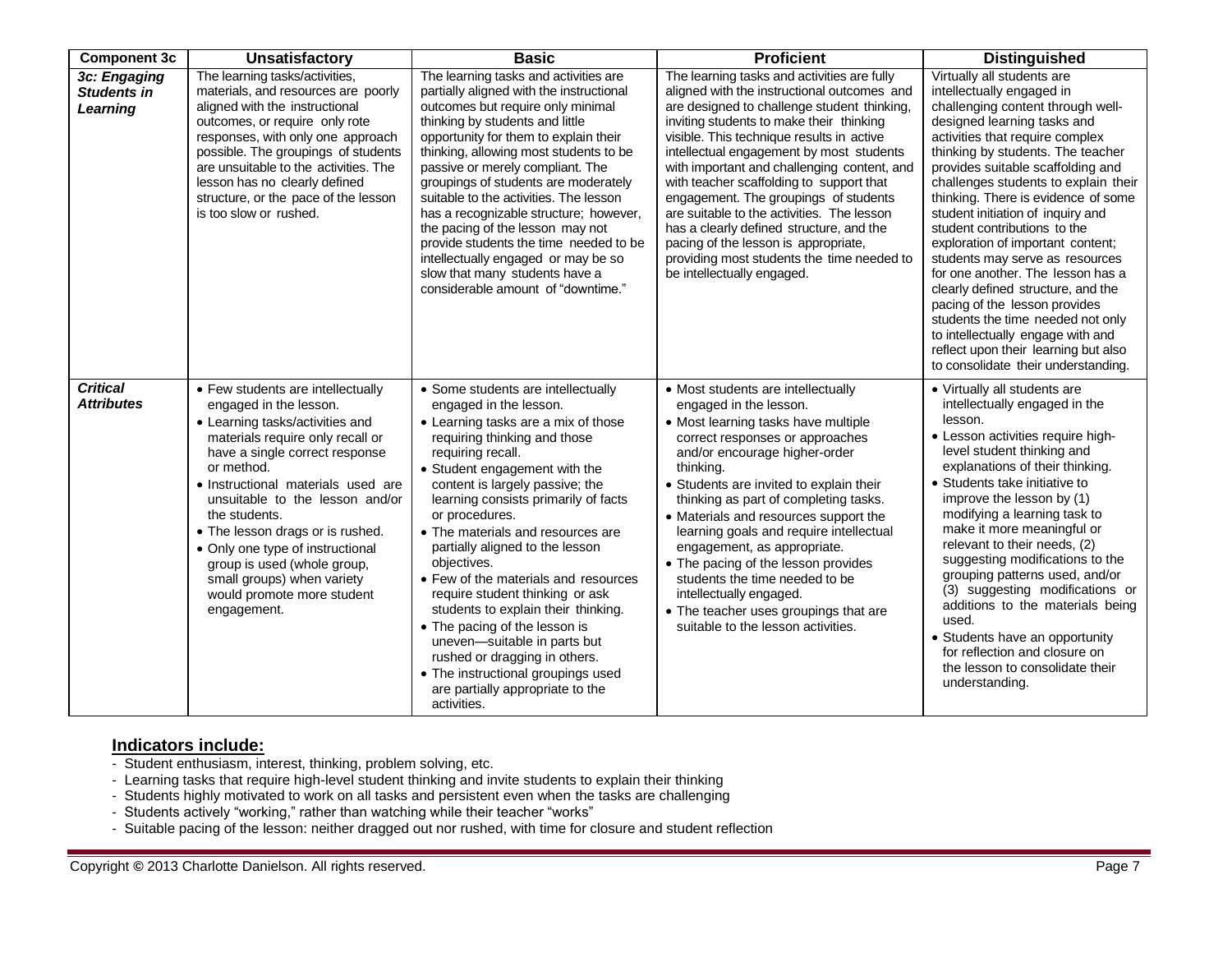| <b>Component 3c</b>                            | <b>Unsatisfactory</b>                                                                                                                                                                                                                                                                                                                                                                                                                                          | <b>Basic</b>                                                                                                                                                                                                                                                                                                                                                                                                                                                                                                                                                                                                                                                                               | <b>Proficient</b>                                                                                                                                                                                                                                                                                                                                                                                                                                                                                                                                                                                                                | <b>Distinguished</b>                                                                                                                                                                                                                                                                                                                                                                                                                                                                                                                                                                                                                                                                                                                      |
|------------------------------------------------|----------------------------------------------------------------------------------------------------------------------------------------------------------------------------------------------------------------------------------------------------------------------------------------------------------------------------------------------------------------------------------------------------------------------------------------------------------------|--------------------------------------------------------------------------------------------------------------------------------------------------------------------------------------------------------------------------------------------------------------------------------------------------------------------------------------------------------------------------------------------------------------------------------------------------------------------------------------------------------------------------------------------------------------------------------------------------------------------------------------------------------------------------------------------|----------------------------------------------------------------------------------------------------------------------------------------------------------------------------------------------------------------------------------------------------------------------------------------------------------------------------------------------------------------------------------------------------------------------------------------------------------------------------------------------------------------------------------------------------------------------------------------------------------------------------------|-------------------------------------------------------------------------------------------------------------------------------------------------------------------------------------------------------------------------------------------------------------------------------------------------------------------------------------------------------------------------------------------------------------------------------------------------------------------------------------------------------------------------------------------------------------------------------------------------------------------------------------------------------------------------------------------------------------------------------------------|
| 3c: Engaging<br><b>Students in</b><br>Learning | The learning tasks/activities,<br>materials, and resources are poorly<br>aligned with the instructional<br>outcomes, or require only rote<br>responses, with only one approach<br>possible. The groupings of students<br>are unsuitable to the activities. The<br>lesson has no clearly defined<br>structure, or the pace of the lesson<br>is too slow or rushed.                                                                                              | The learning tasks and activities are<br>partially aligned with the instructional<br>outcomes but require only minimal<br>thinking by students and little<br>opportunity for them to explain their<br>thinking, allowing most students to be<br>passive or merely compliant. The<br>groupings of students are moderately<br>suitable to the activities. The lesson<br>has a recognizable structure; however,<br>the pacing of the lesson may not<br>provide students the time needed to be<br>intellectually engaged or may be so<br>slow that many students have a<br>considerable amount of "downtime."                                                                                  | The learning tasks and activities are fully<br>aligned with the instructional outcomes and<br>are designed to challenge student thinking,<br>inviting students to make their thinking<br>visible. This technique results in active<br>intellectual engagement by most students<br>with important and challenging content, and<br>with teacher scaffolding to support that<br>engagement. The groupings of students<br>are suitable to the activities. The lesson<br>has a clearly defined structure, and the<br>pacing of the lesson is appropriate,<br>providing most students the time needed to<br>be intellectually engaged. | Virtually all students are<br>intellectually engaged in<br>challenging content through well-<br>designed learning tasks and<br>activities that require complex<br>thinking by students. The teacher<br>provides suitable scaffolding and<br>challenges students to explain their<br>thinking. There is evidence of some<br>student initiation of inquiry and<br>student contributions to the<br>exploration of important content;<br>students may serve as resources<br>for one another. The lesson has a<br>clearly defined structure, and the<br>pacing of the lesson provides<br>students the time needed not only<br>to intellectually engage with and<br>reflect upon their learning but also<br>to consolidate their understanding. |
| <b>Critical</b><br><b>Attributes</b>           | • Few students are intellectually<br>engaged in the lesson.<br>• Learning tasks/activities and<br>materials require only recall or<br>have a single correct response<br>or method.<br>• Instructional materials used are<br>unsuitable to the lesson and/or<br>the students.<br>• The lesson drags or is rushed.<br>• Only one type of instructional<br>group is used (whole group,<br>small groups) when variety<br>would promote more student<br>engagement. | • Some students are intellectually<br>engaged in the lesson.<br>• Learning tasks are a mix of those<br>requiring thinking and those<br>requiring recall.<br>• Student engagement with the<br>content is largely passive; the<br>learning consists primarily of facts<br>or procedures.<br>• The materials and resources are<br>partially aligned to the lesson<br>objectives.<br>• Few of the materials and resources<br>require student thinking or ask<br>students to explain their thinking.<br>• The pacing of the lesson is<br>uneven-suitable in parts but<br>rushed or dragging in others.<br>• The instructional groupings used<br>are partially appropriate to the<br>activities. | • Most students are intellectually<br>engaged in the lesson.<br>• Most learning tasks have multiple<br>correct responses or approaches<br>and/or encourage higher-order<br>thinking.<br>• Students are invited to explain their<br>thinking as part of completing tasks.<br>• Materials and resources support the<br>learning goals and require intellectual<br>engagement, as appropriate.<br>• The pacing of the lesson provides<br>students the time needed to be<br>intellectually engaged.<br>• The teacher uses groupings that are<br>suitable to the lesson activities.                                                   | • Virtually all students are<br>intellectually engaged in the<br>lesson.<br>• Lesson activities require high-<br>level student thinking and<br>explanations of their thinking.<br>• Students take initiative to<br>improve the lesson by (1)<br>modifying a learning task to<br>make it more meaningful or<br>relevant to their needs, (2)<br>suggesting modifications to the<br>grouping patterns used, and/or<br>(3) suggesting modifications or<br>additions to the materials being<br>used.<br>• Students have an opportunity<br>for reflection and closure on<br>the lesson to consolidate their<br>understanding.                                                                                                                   |

- Student enthusiasm, interest, thinking, problem solving, etc.
- Learning tasks that require high-level student thinking and invite students to explain their thinking
- Students highly motivated to work on all tasks and persistent even when the tasks are challenging
- Students actively "working," rather than watching while their teacher "works"
- Suitable pacing of the lesson: neither dragged out nor rushed, with time for closure and student reflection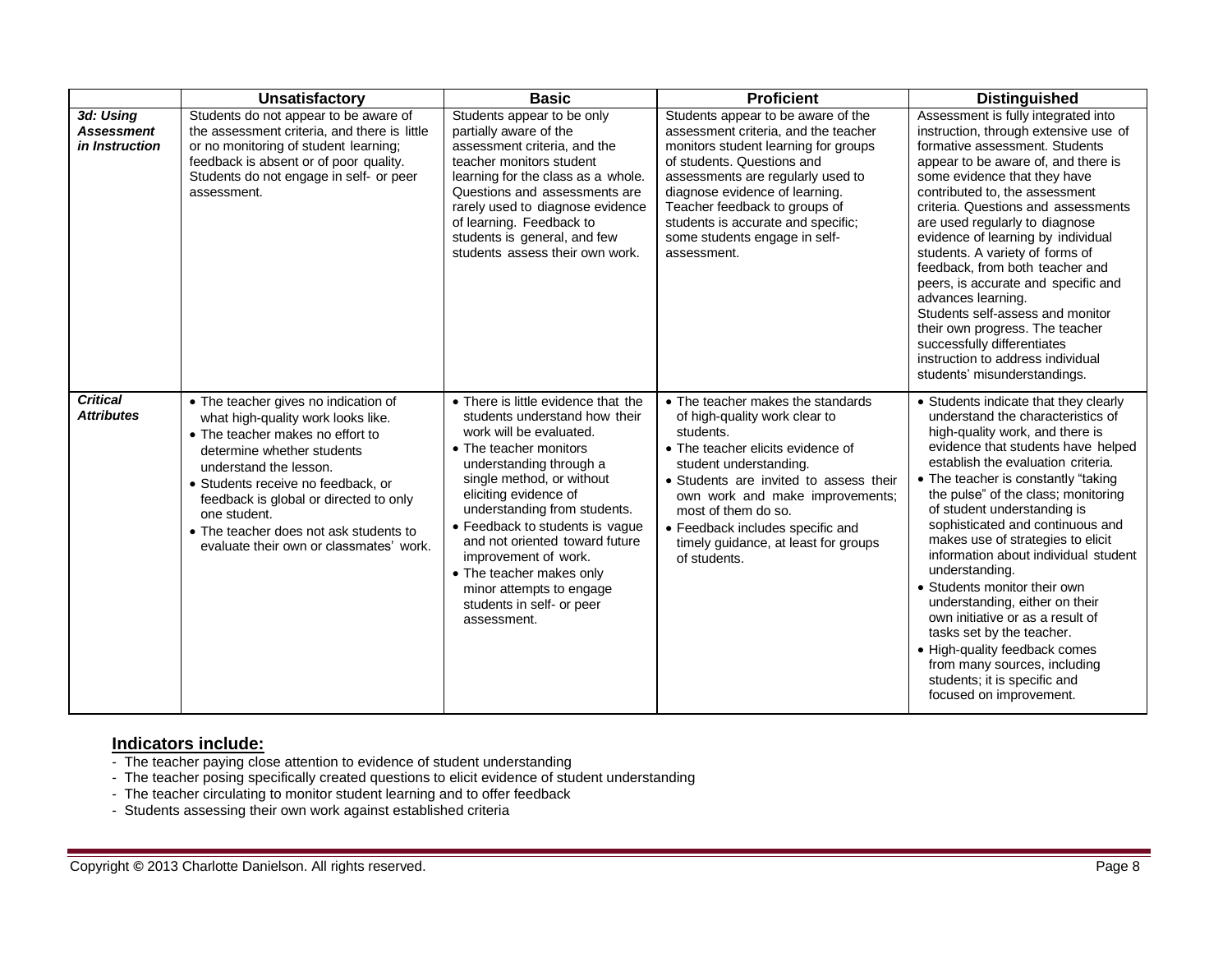|                                                  | <b>Unsatisfactory</b>                                                                                                                                                                                                                                                                                                                                       | <b>Basic</b>                                                                                                                                                                                                                                                                                                                                                                                                                                | <b>Proficient</b>                                                                                                                                                                                                                                                                                                                              | <b>Distinguished</b>                                                                                                                                                                                                                                                                                                                                                                                                                                                                                                                                                                                                                                                                                     |
|--------------------------------------------------|-------------------------------------------------------------------------------------------------------------------------------------------------------------------------------------------------------------------------------------------------------------------------------------------------------------------------------------------------------------|---------------------------------------------------------------------------------------------------------------------------------------------------------------------------------------------------------------------------------------------------------------------------------------------------------------------------------------------------------------------------------------------------------------------------------------------|------------------------------------------------------------------------------------------------------------------------------------------------------------------------------------------------------------------------------------------------------------------------------------------------------------------------------------------------|----------------------------------------------------------------------------------------------------------------------------------------------------------------------------------------------------------------------------------------------------------------------------------------------------------------------------------------------------------------------------------------------------------------------------------------------------------------------------------------------------------------------------------------------------------------------------------------------------------------------------------------------------------------------------------------------------------|
| 3d: Using<br><b>Assessment</b><br>in Instruction | Students do not appear to be aware of<br>the assessment criteria, and there is little<br>or no monitoring of student learning;<br>feedback is absent or of poor quality.<br>Students do not engage in self- or peer<br>assessment.                                                                                                                          | Students appear to be only<br>partially aware of the<br>assessment criteria, and the<br>teacher monitors student<br>learning for the class as a whole.<br>Questions and assessments are<br>rarely used to diagnose evidence<br>of learning. Feedback to<br>students is general, and few<br>students assess their own work.                                                                                                                  | Students appear to be aware of the<br>assessment criteria, and the teacher<br>monitors student learning for groups<br>of students. Questions and<br>assessments are regularly used to<br>diagnose evidence of learning.<br>Teacher feedback to groups of<br>students is accurate and specific;<br>some students engage in self-<br>assessment. | Assessment is fully integrated into<br>instruction, through extensive use of<br>formative assessment. Students<br>appear to be aware of, and there is<br>some evidence that they have<br>contributed to, the assessment<br>criteria. Questions and assessments<br>are used regularly to diagnose<br>evidence of learning by individual<br>students. A variety of forms of<br>feedback, from both teacher and<br>peers, is accurate and specific and<br>advances learning.<br>Students self-assess and monitor<br>their own progress. The teacher<br>successfully differentiates<br>instruction to address individual<br>students' misunderstandings.                                                     |
| <b>Critical</b><br><b>Attributes</b>             | • The teacher gives no indication of<br>what high-quality work looks like.<br>• The teacher makes no effort to<br>determine whether students<br>understand the lesson.<br>• Students receive no feedback, or<br>feedback is global or directed to only<br>one student.<br>• The teacher does not ask students to<br>evaluate their own or classmates' work. | • There is little evidence that the<br>students understand how their<br>work will be evaluated.<br>• The teacher monitors<br>understanding through a<br>single method, or without<br>eliciting evidence of<br>understanding from students.<br>• Feedback to students is vague<br>and not oriented toward future<br>improvement of work.<br>• The teacher makes only<br>minor attempts to engage<br>students in self- or peer<br>assessment. | • The teacher makes the standards<br>of high-quality work clear to<br>students.<br>• The teacher elicits evidence of<br>student understanding.<br>• Students are invited to assess their<br>own work and make improvements;<br>most of them do so.<br>• Feedback includes specific and<br>timely guidance, at least for groups<br>of students. | • Students indicate that they clearly<br>understand the characteristics of<br>high-quality work, and there is<br>evidence that students have helped<br>establish the evaluation criteria.<br>• The teacher is constantly "taking<br>the pulse" of the class; monitoring<br>of student understanding is<br>sophisticated and continuous and<br>makes use of strategies to elicit<br>information about individual student<br>understanding.<br>• Students monitor their own<br>understanding, either on their<br>own initiative or as a result of<br>tasks set by the teacher.<br>• High-quality feedback comes<br>from many sources, including<br>students; it is specific and<br>focused on improvement. |

- The teacher paying close attention to evidence of student understanding
- The teacher posing specifically created questions to elicit evidence of student understanding
- The teacher circulating to monitor student learning and to offer feedback
- Students assessing their own work against established criteria